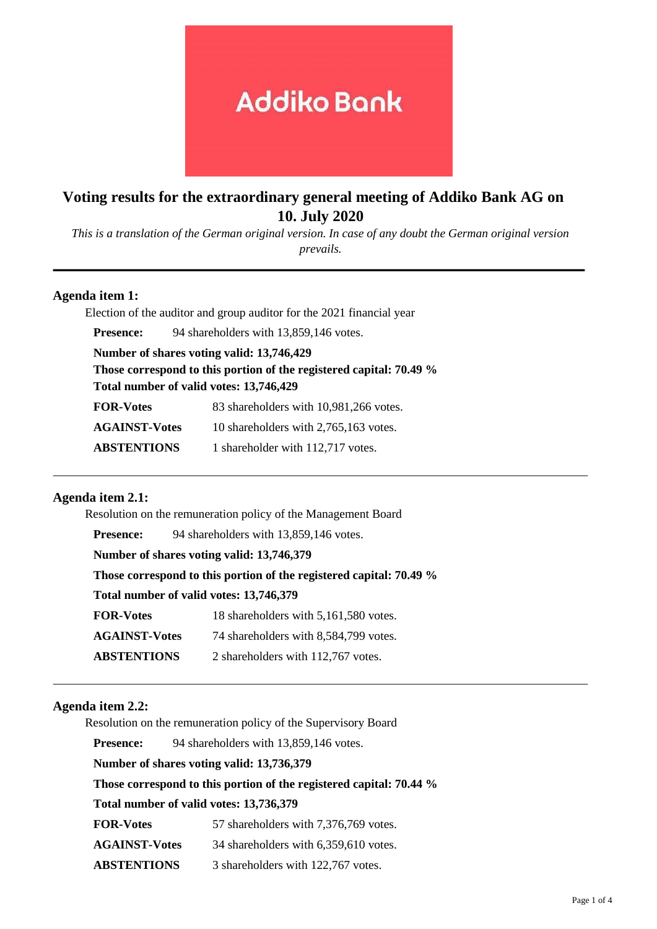# **Addiko Bank**

## **Voting results for the extraordinary general meeting of Addiko Bank AG on 10. July 2020**

*This is a translation of the German original version. In case of any doubt the German original version prevails.*

## **Agenda item 1:**

Election of the auditor and group auditor for the 2021 financial year

**Presence:** 94 shareholders with 13,859,146 votes.

**Number of shares voting valid: 13,746,429**

**Those correspond to this portion of the registered capital: 70.49 %**

**Total number of valid votes: 13,746,429**

**FOR-Votes** 83 shareholders with 10,981,266 votes.

**AGAINST-Votes** 10 shareholders with 2,765,163 votes.

**ABSTENTIONS** 1 shareholder with 112,717 votes.

## **Agenda item 2.1:**

Resolution on the remuneration policy of the Management Board Presence: 94 shareholders with 13,859,146 votes. **Number of shares voting valid: 13,746,379 Those correspond to this portion of the registered capital: 70.49 % Total number of valid votes: 13,746,379 FOR-Votes** 18 shareholders with 5,161,580 votes. **AGAINST-Votes** 74 shareholders with 8,584,799 votes. **ABSTENTIONS** 2 shareholders with 112,767 votes.

## **Agenda item 2.2:**

Resolution on the remuneration policy of the Supervisory Board

**Presence:** 94 shareholders with 13,859,146 votes.

**Number of shares voting valid: 13,736,379**

**Those correspond to this portion of the registered capital: 70.44 %**

## **Total number of valid votes: 13,736,379**

**FOR-Votes** 57 shareholders with 7,376,769 votes.

**AGAINST-Votes** 34 shareholders with 6,359,610 votes.

**ABSTENTIONS** 3 shareholders with 122,767 votes.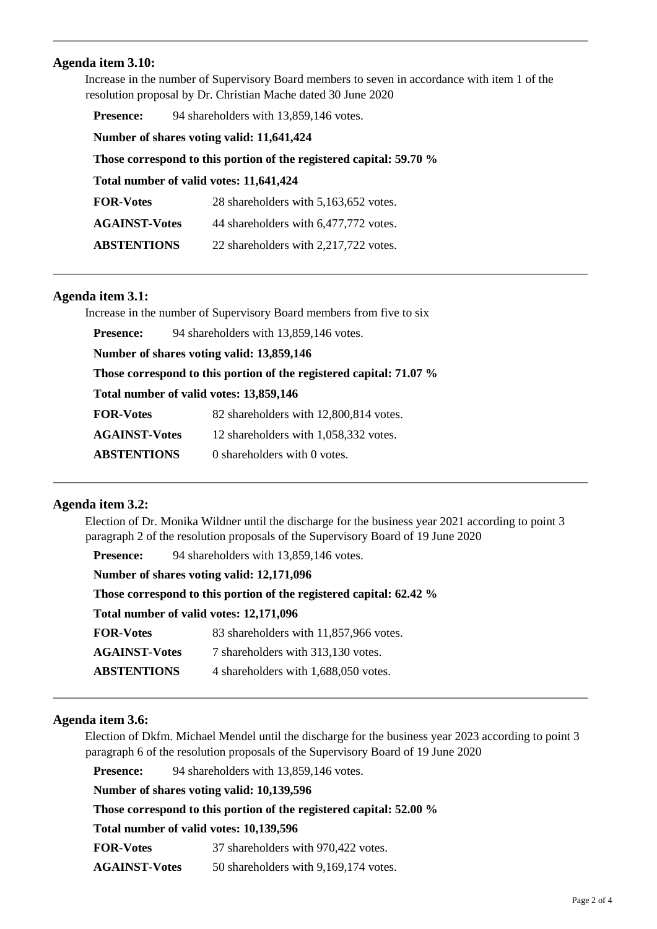## **Agenda item 3.10:**

Increase in the number of Supervisory Board members to seven in accordance with item 1 of the resolution proposal by Dr. Christian Mache dated 30 June 2020

**Presence:** 94 shareholders with 13,859,146 votes.

**Number of shares voting valid: 11,641,424**

**Those correspond to this portion of the registered capital: 59.70 %**

**Total number of valid votes: 11,641,424**

| <b>FOR-Votes</b>     | 28 shareholders with 5,163,652 votes. |
|----------------------|---------------------------------------|
| <b>AGAINST-Votes</b> | 44 shareholders with 6,477,772 votes. |

**ABSTENTIONS** 22 shareholders with 2,217,722 votes.

## **Agenda item 3.1:**

Increase in the number of Supervisory Board members from five to six

**Presence:** 94 shareholders with 13,859,146 votes.

**Number of shares voting valid: 13,859,146**

**Those correspond to this portion of the registered capital: 71.07 %**

**Total number of valid votes: 13,859,146**

**FOR-Votes** 82 shareholders with 12,800,814 votes.

**AGAINST-Votes** 12 shareholders with 1,058,332 votes.

**ABSTENTIONS** 0 shareholders with 0 votes.

## **Agenda item 3.2:**

Election of Dr. Monika Wildner until the discharge for the business year 2021 according to point 3 paragraph 2 of the resolution proposals of the Supervisory Board of 19 June 2020

| <b>Presence:</b>                                                    | 94 shareholders with 13,859,146 votes. |  |
|---------------------------------------------------------------------|----------------------------------------|--|
| Number of shares voting valid: 12,171,096                           |                                        |  |
| Those correspond to this portion of the registered capital: 62.42 % |                                        |  |
| Total number of valid votes: 12,171,096                             |                                        |  |
| <b>FOR-Votes</b>                                                    | 83 shareholders with 11,857,966 votes. |  |
| <b>AGAINST-Votes</b>                                                | 7 shareholders with 313,130 votes.     |  |
| <b>ABSTENTIONS</b>                                                  | 4 shareholders with 1,688,050 votes.   |  |

## **Agenda item 3.6:**

Election of Dkfm. Michael Mendel until the discharge for the business year 2023 according to point 3 paragraph 6 of the resolution proposals of the Supervisory Board of 19 June 2020

**Presence:** 94 shareholders with 13,859,146 votes.

**Number of shares voting valid: 10,139,596**

**Those correspond to this portion of the registered capital: 52.00 %**

**Total number of valid votes: 10,139,596**

**FOR-Votes** 37 shareholders with 970,422 votes.

**AGAINST-Votes** 50 shareholders with 9,169,174 votes.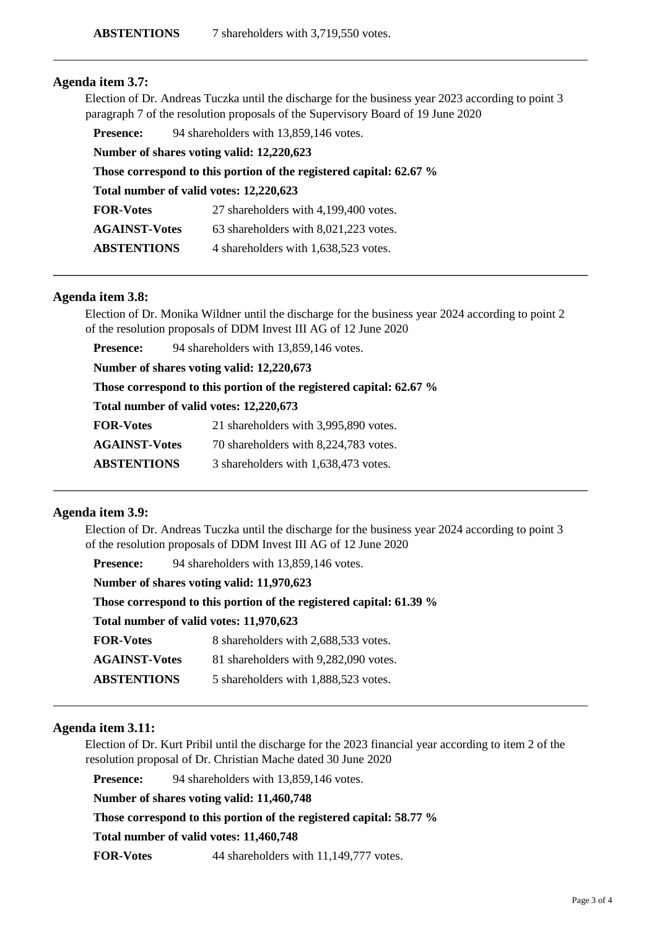## **Agenda item 3.7:**

Election of Dr. Andreas Tuczka until the discharge for the business year 2023 according to point 3 paragraph 7 of the resolution proposals of the Supervisory Board of 19 June 2020

**Presence:** 94 shareholders with 13,859,146 votes.

**Number of shares voting valid: 12,220,623**

**Those correspond to this portion of the registered capital: 62.67 %**

**Total number of valid votes: 12,220,623**

| <b>FOR-Votes</b>     | 27 shareholders with 4,199,400 votes. |
|----------------------|---------------------------------------|
| <b>AGAINST-Votes</b> | 63 shareholders with 8,021,223 votes. |
|                      |                                       |

**ABSTENTIONS** 4 shareholders with 1,638,523 votes.

## **Agenda item 3.8:**

Election of Dr. Monika Wildner until the discharge for the business year 2024 according to point 2 of the resolution proposals of DDM Invest III AG of 12 June 2020

**Presence:** 94 shareholders with 13,859,146 votes.

**Number of shares voting valid: 12,220,673**

| Those correspond to this portion of the registered capital: 62.67 % |  |  |  |  |  |
|---------------------------------------------------------------------|--|--|--|--|--|
|---------------------------------------------------------------------|--|--|--|--|--|

**Total number of valid votes: 12,220,673**

**AGAINST-Votes** 70 shareholders with 8,224,783 votes.

**ABSTENTIONS** 3 shareholders with 1,638,473 votes.

## **Agenda item 3.9:**

Election of Dr. Andreas Tuczka until the discharge for the business year 2024 according to point 3 of the resolution proposals of DDM Invest III AG of 12 June 2020

**Presence:** 94 shareholders with 13,859,146 votes.

| Number of shares voting valid: 11,970,623 |  |  |
|-------------------------------------------|--|--|
|-------------------------------------------|--|--|

**Those correspond to this portion of the registered capital: 61.39 %**

**Total number of valid votes: 11,970,623**

| <b>FOR-Votes</b>     | 8 shareholders with 2,688,533 votes.  |
|----------------------|---------------------------------------|
| <b>AGAINST-Votes</b> | 81 shareholders with 9,282,090 votes. |
| <b>ABSTENTIONS</b>   | 5 shareholders with 1,888,523 votes.  |

## **Agenda item 3.11:**

Election of Dr. Kurt Pribil until the discharge for the 2023 financial year according to item 2 of the resolution proposal of Dr. Christian Mache dated 30 June 2020

**Presence:** 94 shareholders with 13,859,146 votes.

**Number of shares voting valid: 11,460,748**

**Those correspond to this portion of the registered capital: 58.77 %**

**Total number of valid votes: 11,460,748**

**FOR-Votes** 44 shareholders with 11,149,777 votes.